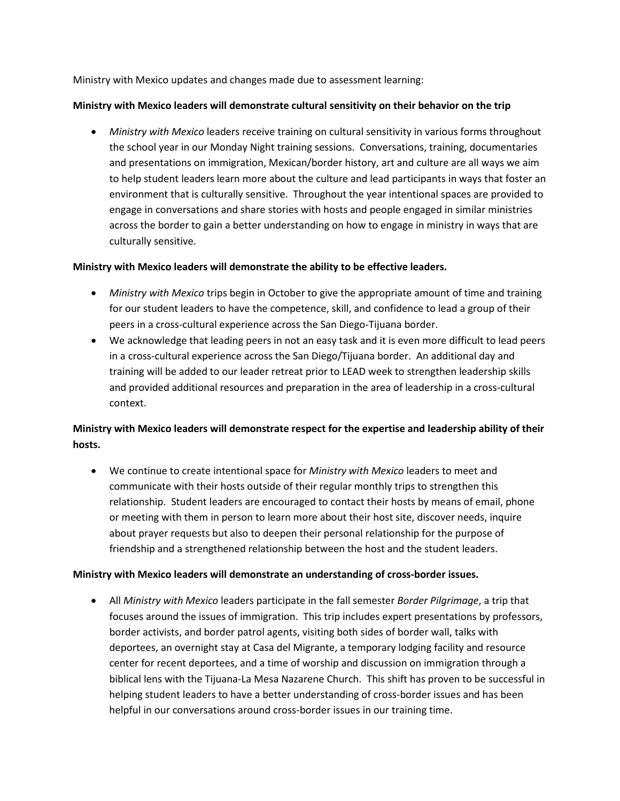Ministry with Mexico updates and changes made due to assessment learning:

## **Ministry with Mexico leaders will demonstrate cultural sensitivity on their behavior on the trip**

• *Ministry with Mexico* leaders receive training on cultural sensitivity in various forms throughout the school year in our Monday Night training sessions. Conversations, training, documentaries and presentations on immigration, Mexican/border history, art and culture are all ways we aim to help student leaders learn more about the culture and lead participants in ways that foster an environment that is culturally sensitive. Throughout the year intentional spaces are provided to engage in conversations and share stories with hosts and people engaged in similar ministries across the border to gain a better understanding on how to engage in ministry in ways that are culturally sensitive.

## **Ministry with Mexico leaders will demonstrate the ability to be effective leaders.**

- *Ministry with Mexico* trips begin in October to give the appropriate amount of time and training for our student leaders to have the competence, skill, and confidence to lead a group of their peers in a cross-cultural experience across the San Diego-Tijuana border.
- We acknowledge that leading peers in not an easy task and it is even more difficult to lead peers in a cross-cultural experience across the San Diego/Tijuana border. An additional day and training will be added to our leader retreat prior to LEAD week to strengthen leadership skills and provided additional resources and preparation in the area of leadership in a cross-cultural context.

## **Ministry with Mexico leaders will demonstrate respect for the expertise and leadership ability of their hosts.**

• We continue to create intentional space for *Ministry with Mexico* leaders to meet and communicate with their hosts outside of their regular monthly trips to strengthen this relationship. Student leaders are encouraged to contact their hosts by means of email, phone or meeting with them in person to learn more about their host site, discover needs, inquire about prayer requests but also to deepen their personal relationship for the purpose of friendship and a strengthened relationship between the host and the student leaders.

## **Ministry with Mexico leaders will demonstrate an understanding of cross-border issues.**

• All *Ministry with Mexico* leaders participate in the fall semester *Border Pilgrimage*, a trip that focuses around the issues of immigration. This trip includes expert presentations by professors, border activists, and border patrol agents, visiting both sides of border wall, talks with deportees, an overnight stay at Casa del Migrante, a temporary lodging facility and resource center for recent deportees, and a time of worship and discussion on immigration through a biblical lens with the Tijuana-La Mesa Nazarene Church. This shift has proven to be successful in helping student leaders to have a better understanding of cross-border issues and has been helpful in our conversations around cross-border issues in our training time.